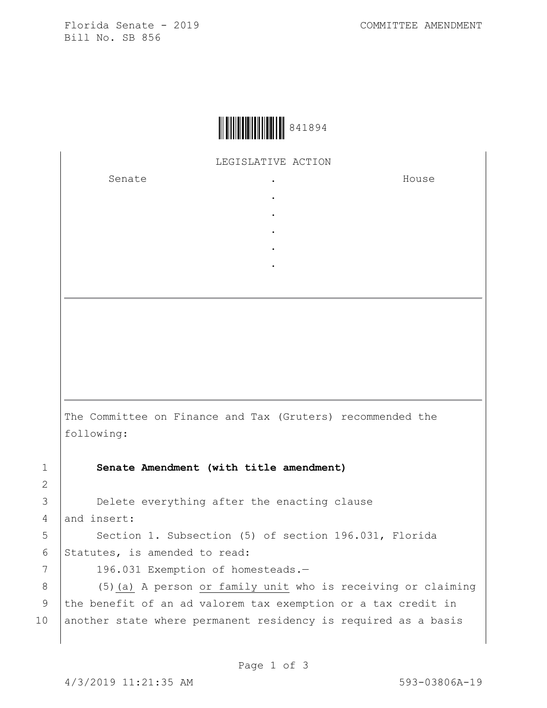Florida Senate - 2019 COMMITTEE AMENDMENT Bill No. SB 856



LEGISLATIVE ACTION

. . . . .

Senate .

House

The Committee on Finance and Tax (Gruters) recommended the following:

1 **Senate Amendment (with title amendment)**

3 **Delete everything after the enacting clause** 4 and insert:

5 | Section 1. Subsection (5) of section 196.031, Florida 6 Statutes, is amended to read:

2

7 | 196.031 Exemption of homesteads.-

8 | (5)(a) A person or family unit who is receiving or claiming 9 the benefit of an ad valorem tax exemption or a tax credit in 10 another state where permanent residency is required as a basis

Page 1 of 3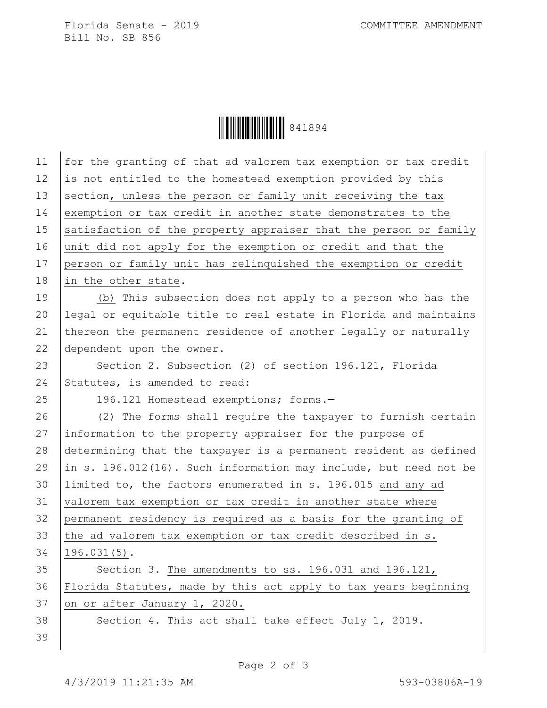Florida Senate - 2019 COMMITTEE AMENDMENT Bill No. SB 856

Ì841894MÎ841894

| 11 | for the granting of that ad valorem tax exemption or tax credit  |
|----|------------------------------------------------------------------|
| 12 | is not entitled to the homestead exemption provided by this      |
| 13 | section, unless the person or family unit receiving the tax      |
| 14 | exemption or tax credit in another state demonstrates to the     |
| 15 | satisfaction of the property appraiser that the person or family |
| 16 | unit did not apply for the exemption or credit and that the      |
| 17 | person or family unit has relinquished the exemption or credit   |
| 18 | in the other state.                                              |
| 19 | (b) This subsection does not apply to a person who has the       |
| 20 | legal or equitable title to real estate in Florida and maintains |
| 21 | thereon the permanent residence of another legally or naturally  |
| 22 | dependent upon the owner.                                        |
| 23 | Section 2. Subsection (2) of section 196.121, Florida            |
| 24 | Statutes, is amended to read:                                    |
| 25 | 196.121 Homestead exemptions; forms.-                            |
| 26 | (2) The forms shall require the taxpayer to furnish certain      |
| 27 | information to the property appraiser for the purpose of         |
| 28 | determining that the taxpayer is a permanent resident as defined |
| 29 | in s. 196.012(16). Such information may include, but need not be |
| 30 | limited to, the factors enumerated in s. 196.015 and any ad      |
| 31 | valorem tax exemption or tax credit in another state where       |
| 32 | permanent residency is required as a basis for the granting of   |
| 33 | the ad valorem tax exemption or tax credit described in s.       |
| 34 | $196.031(5)$ .                                                   |
| 35 | Section 3. The amendments to ss. 196.031 and 196.121,            |
| 36 | Florida Statutes, made by this act apply to tax years beginning  |
| 37 | on or after January 1, 2020.                                     |
| 38 | Section 4. This act shall take effect July 1, 2019.              |
| 39 |                                                                  |
|    |                                                                  |